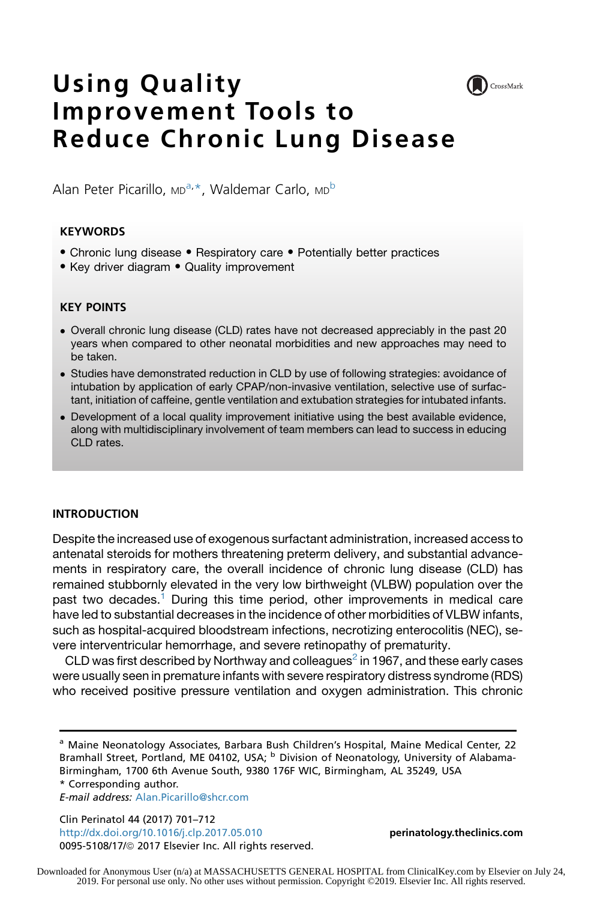

# Using Quality Improvement Tools to Reduce Chronic Lung Disease

Alan Peter Picarillo, <sub>MD</sub><sup>a,\*</sup>, Waldemar Carlo, MD<sup>b</sup>

#### **KEYWORDS**

- Chronic lung disease Respiratory care Potentially better practices
- Key driver diagram Quality improvement

#### KEY POINTS

- Overall chronic lung disease (CLD) rates have not decreased appreciably in the past 20 years when compared to other neonatal morbidities and new approaches may need to be taken.
- Studies have demonstrated reduction in CLD by use of following strategies: avoidance of intubation by application of early CPAP/non-invasive ventilation, selective use of surfactant, initiation of caffeine, gentle ventilation and extubation strategies for intubated infants.
- Development of a local quality improvement initiative using the best available evidence, along with multidisciplinary involvement of team members can lead to success in educing CLD rates.

#### INTRODUCTION

Despite the increased use of exogenous surfactant administration, increased access to antenatal steroids for mothers threatening preterm delivery, and substantial advancements in respiratory care, the overall incidence of chronic lung disease (CLD) has remained stubbornly elevated in the very low birthweight (VLBW) population over the past two decades[.1](#page-9-0) During this time period, other improvements in medical care have led to substantial decreases in the incidence of other morbidities of VLBW infants, such as hospital-acquired bloodstream infections, necrotizing enterocolitis (NEC), severe interventricular hemorrhage, and severe retinopathy of prematurity.

CLD was first described by Northway and colleagues $^2$  $^2$  in 1967, and these early cases were usually seen in premature infants with severe respiratory distress syndrome (RDS) who received positive pressure ventilation and oxygen administration. This chronic

Clin Perinatol 44 (2017) 701–712 <http://dx.doi.org/10.1016/j.clp.2017.05.010> **[perinatology.theclinics.com](http://perinatology.theclinics.com)** 0095-5108/17/@ 2017 Elsevier Inc. All rights reserved.

<sup>&</sup>lt;sup>a</sup> Maine Neonatology Associates, Barbara Bush Children's Hospital, Maine Medical Center, 22 Bramhall Street, Portland, ME 04102, USA; <sup>b</sup> Division of Neonatology, University of Alabama-Birmingham, 1700 6th Avenue South, 9380 176F WIC, Birmingham, AL 35249, USA \* Corresponding author.

E-mail address: [Alan.Picarillo@shcr.com](mailto:Alan.Picarillo@shcr.com)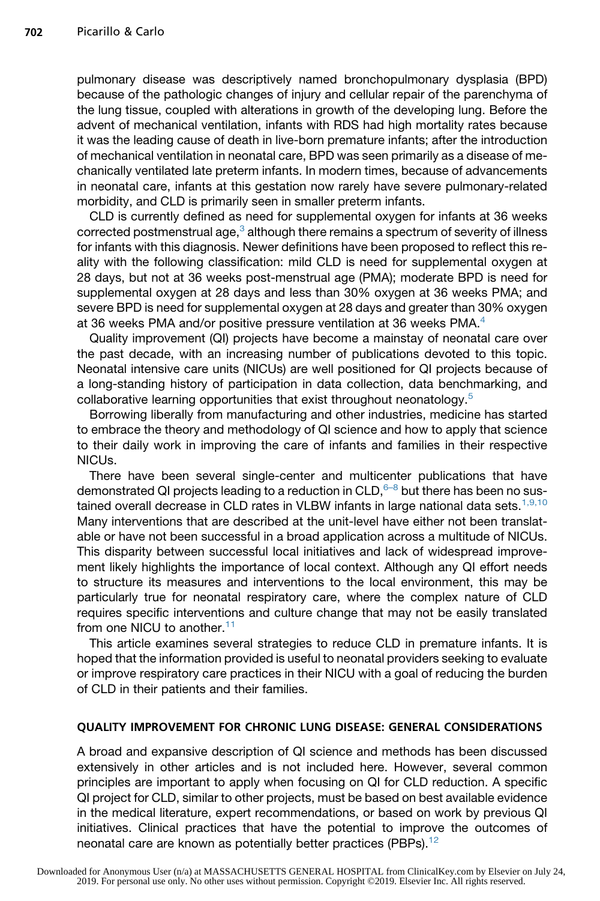pulmonary disease was descriptively named bronchopulmonary dysplasia (BPD) because of the pathologic changes of injury and cellular repair of the parenchyma of the lung tissue, coupled with alterations in growth of the developing lung. Before the advent of mechanical ventilation, infants with RDS had high mortality rates because it was the leading cause of death in live-born premature infants; after the introduction of mechanical ventilation in neonatal care, BPD was seen primarily as a disease of mechanically ventilated late preterm infants. In modern times, because of advancements in neonatal care, infants at this gestation now rarely have severe pulmonary-related morbidity, and CLD is primarily seen in smaller preterm infants.

CLD is currently defined as need for supplemental oxygen for infants at 36 weeks corrected postmenstrual age, $3$  although there remains a spectrum of severity of illness for infants with this diagnosis. Newer definitions have been proposed to reflect this reality with the following classification: mild CLD is need for supplemental oxygen at 28 days, but not at 36 weeks post-menstrual age (PMA); moderate BPD is need for supplemental oxygen at 28 days and less than 30% oxygen at 36 weeks PMA; and severe BPD is need for supplemental oxygen at 28 days and greater than 30% oxygen at 36 weeks PMA and/or positive pressure ventilation at 36 weeks PMA.[4](#page-10-0)

Quality improvement (QI) projects have become a mainstay of neonatal care over the past decade, with an increasing number of publications devoted to this topic. Neonatal intensive care units (NICUs) are well positioned for QI projects because of a long-standing history of participation in data collection, data benchmarking, and collaborative learning opportunities that exist throughout neonatology.[5](#page-10-0)

Borrowing liberally from manufacturing and other industries, medicine has started to embrace the theory and methodology of QI science and how to apply that science to their daily work in improving the care of infants and families in their respective NICUs.

There have been several single-center and multicenter publications that have demonstrated QI projects leading to a reduction in CLD,<sup>[6–8](#page-10-0)</sup> but there has been no sus-tained overall decrease in CLD rates in VLBW infants in large national data sets.<sup>[1,9,10](#page-9-0)</sup> Many interventions that are described at the unit-level have either not been translatable or have not been successful in a broad application across a multitude of NICUs. This disparity between successful local initiatives and lack of widespread improvement likely highlights the importance of local context. Although any QI effort needs to structure its measures and interventions to the local environment, this may be particularly true for neonatal respiratory care, where the complex nature of CLD requires specific interventions and culture change that may not be easily translated from one NICU to another. $11$ 

This article examines several strategies to reduce CLD in premature infants. It is hoped that the information provided is useful to neonatal providers seeking to evaluate or improve respiratory care practices in their NICU with a goal of reducing the burden of CLD in their patients and their families.

# QUALITY IMPROVEMENT FOR CHRONIC LUNG DISEASE: GENERAL CONSIDERATIONS

A broad and expansive description of QI science and methods has been discussed extensively in other articles and is not included here. However, several common principles are important to apply when focusing on QI for CLD reduction. A specific QI project for CLD, similar to other projects, must be based on best available evidence in the medical literature, expert recommendations, or based on work by previous QI initiatives. Clinical practices that have the potential to improve the outcomes of neonatal care are known as potentially better practices (PBPs).<sup>[12](#page-10-0)</sup>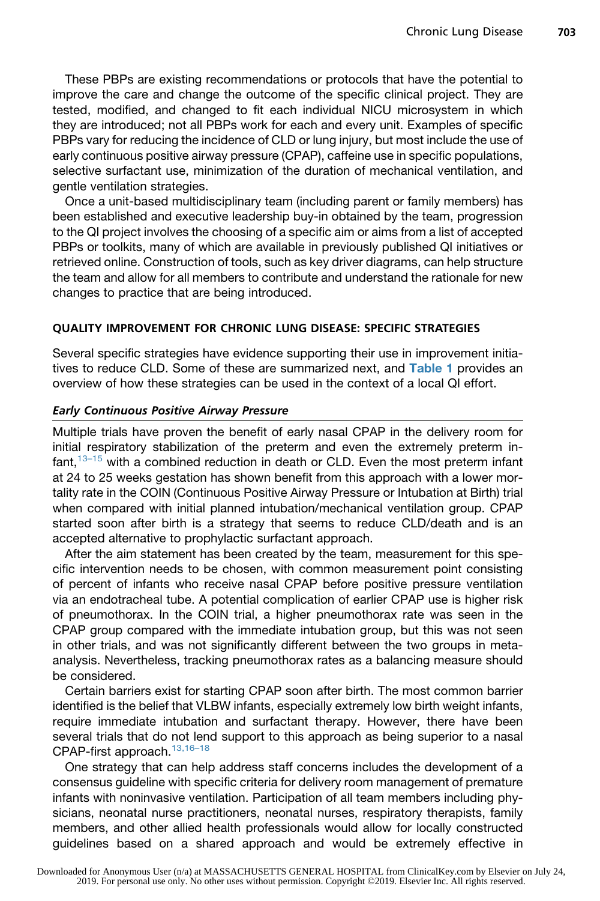These PBPs are existing recommendations or protocols that have the potential to improve the care and change the outcome of the specific clinical project. They are tested, modified, and changed to fit each individual NICU microsystem in which they are introduced; not all PBPs work for each and every unit. Examples of specific PBPs vary for reducing the incidence of CLD or lung injury, but most include the use of early continuous positive airway pressure (CPAP), caffeine use in specific populations, selective surfactant use, minimization of the duration of mechanical ventilation, and gentle ventilation strategies.

Once a unit-based multidisciplinary team (including parent or family members) has been established and executive leadership buy-in obtained by the team, progression to the QI project involves the choosing of a specific aim or aims from a list of accepted PBPs or toolkits, many of which are available in previously published QI initiatives or retrieved online. Construction of tools, such as key driver diagrams, can help structure the team and allow for all members to contribute and understand the rationale for new changes to practice that are being introduced.

# QUALITY IMPROVEMENT FOR CHRONIC LUNG DISEASE: SPECIFIC STRATEGIES

Several specific strategies have evidence supporting their use in improvement initia-tives to reduce CLD. Some of these are summarized next, and [Table 1](#page-3-0) provides an overview of how these strategies can be used in the context of a local QI effort.

## Early Continuous Positive Airway Pressure

Multiple trials have proven the benefit of early nasal CPAP in the delivery room for initial respiratory stabilization of the preterm and even the extremely preterm infant,  $13-15$  with a combined reduction in death or CLD. Even the most preterm infant at 24 to 25 weeks gestation has shown benefit from this approach with a lower mortality rate in the COIN (Continuous Positive Airway Pressure or Intubation at Birth) trial when compared with initial planned intubation/mechanical ventilation group. CPAP started soon after birth is a strategy that seems to reduce CLD/death and is an accepted alternative to prophylactic surfactant approach.

After the aim statement has been created by the team, measurement for this specific intervention needs to be chosen, with common measurement point consisting of percent of infants who receive nasal CPAP before positive pressure ventilation via an endotracheal tube. A potential complication of earlier CPAP use is higher risk of pneumothorax. In the COIN trial, a higher pneumothorax rate was seen in the CPAP group compared with the immediate intubation group, but this was not seen in other trials, and was not significantly different between the two groups in metaanalysis. Nevertheless, tracking pneumothorax rates as a balancing measure should be considered.

Certain barriers exist for starting CPAP soon after birth. The most common barrier identified is the belief that VLBW infants, especially extremely low birth weight infants, require immediate intubation and surfactant therapy. However, there have been several trials that do not lend support to this approach as being superior to a nasal CPAP-first approach.<sup>13,16-18</sup>

One strategy that can help address staff concerns includes the development of a consensus guideline with specific criteria for delivery room management of premature infants with noninvasive ventilation. Participation of all team members including physicians, neonatal nurse practitioners, neonatal nurses, respiratory therapists, family members, and other allied health professionals would allow for locally constructed guidelines based on a shared approach and would be extremely effective in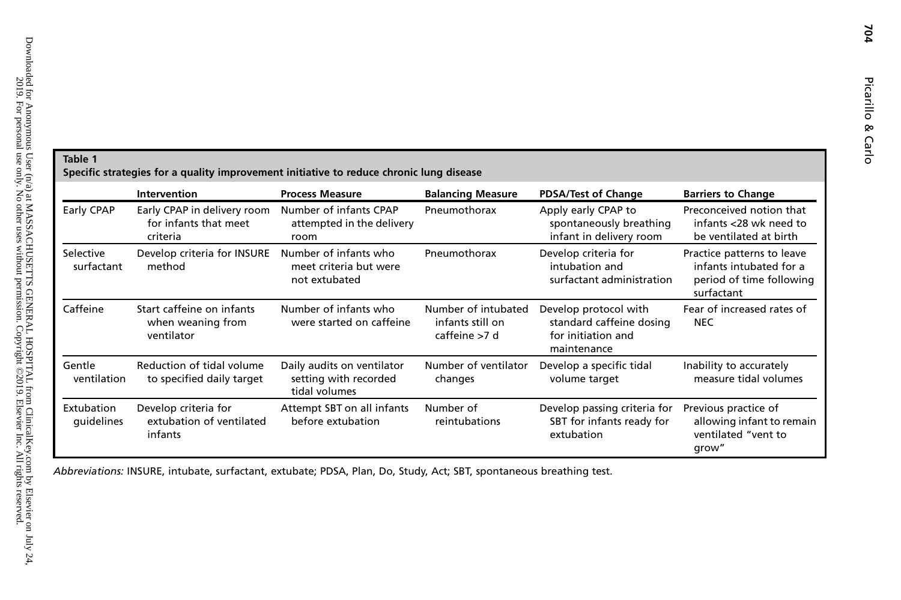704

#### <span id="page-3-0"></span>Table 1Specific strategies for <sup>a</sup> quality improvement initiative to reduce chronic lung disease Intervention Process Measure Balancing Measure PDSA/Test of Change Barriers to Change Early CPAP Early CPAP in delivery room for infants that meetcriteriaNumber of infants CPAPattempted in the delivery roomPneumothorax Apply early CPAP to spontaneously breathing infant in delivery room Preconceived notion thatinfants <28 wk need tobe ventilated at birthSelectivesurfactantDevelop criteria for INSURE methodNumber of infants whomeet criteria but werenot extubatedPneumothorax Develop criteria for intubation andsurfactant administrationPractice patterns to leave infants intubated for <sup>a</sup>period of time following surfactantCaffeine Start caffeine on infantswhen weaning from ventilatorNumber of infants whowere started on caffeineNumber of intubatedinfants still oncaffeine >7 dDevelop protocol with standard caffeine dosing for initiation andmaintenanceFear of increased rates ofNECGentleventilationReduction of tidal volumeto specified daily target Daily audits on ventilator setting with recorded tidal volumesNumber of ventilatorchanges Develop <sup>a</sup> specific tidal volume target Inability to accurately measure tidal volumesExtubationguidelines Develop criteria for extubation of ventilatedinfantsAttempt SBT on all infants before extubationNumber ofreintubationsDevelop passing criteria for SBT for infants ready for extubationPrevious practice of allowing infant to remain ventilated "vent togrow"

Abbreviations: INSURE, intubate, surfactant, extubate; PDSA, Plan, Do, Study, Act; SBT, spontaneous breathing test.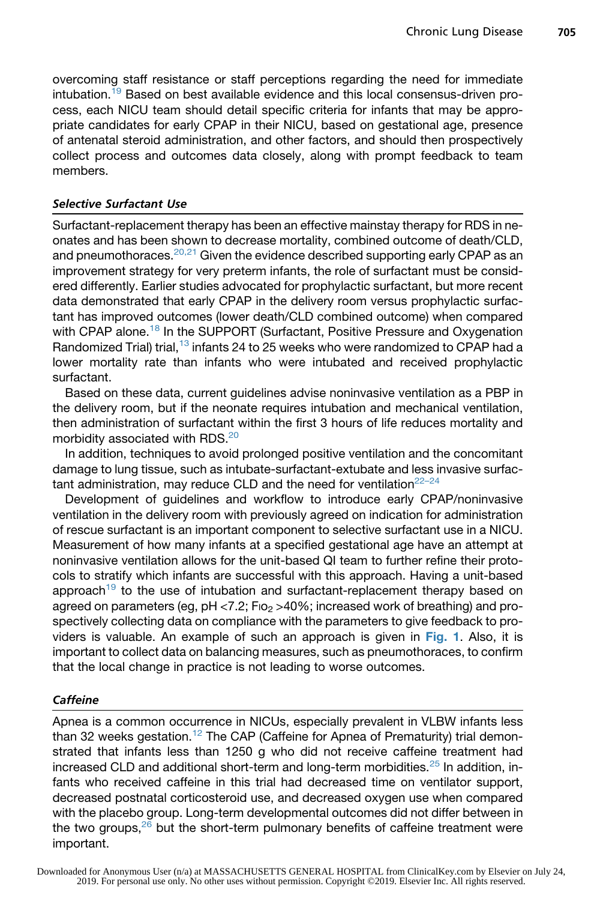overcoming staff resistance or staff perceptions regarding the need for immediate intubation.[19](#page-10-0) Based on best available evidence and this local consensus-driven process, each NICU team should detail specific criteria for infants that may be appropriate candidates for early CPAP in their NICU, based on gestational age, presence of antenatal steroid administration, and other factors, and should then prospectively collect process and outcomes data closely, along with prompt feedback to team members.

# Selective Surfactant Use

Surfactant-replacement therapy has been an effective mainstay therapy for RDS in neonates and has been shown to decrease mortality, combined outcome of death/CLD, and pneumothoraces. $20,21$  Given the evidence described supporting early CPAP as an improvement strategy for very preterm infants, the role of surfactant must be considered differently. Earlier studies advocated for prophylactic surfactant, but more recent data demonstrated that early CPAP in the delivery room versus prophylactic surfactant has improved outcomes (lower death/CLD combined outcome) when compared with CPAP alone.<sup>[18](#page-10-0)</sup> In the SUPPORT (Surfactant, Positive Pressure and Oxygenation Randomized Trial) trial,<sup>[13](#page-10-0)</sup> infants 24 to 25 weeks who were randomized to CPAP had a lower mortality rate than infants who were intubated and received prophylactic surfactant.

Based on these data, current guidelines advise noninvasive ventilation as a PBP in the delivery room, but if the neonate requires intubation and mechanical ventilation, then administration of surfactant within the first 3 hours of life reduces mortality and morbidity associated with RDS.<sup>[20](#page-11-0)</sup>

In addition, techniques to avoid prolonged positive ventilation and the concomitant damage to lung tissue, such as intubate-surfactant-extubate and less invasive surfactant administration, may reduce CLD and the need for ventilation $22-24$ 

Development of guidelines and workflow to introduce early CPAP/noninvasive ventilation in the delivery room with previously agreed on indication for administration of rescue surfactant is an important component to selective surfactant use in a NICU. Measurement of how many infants at a specified gestational age have an attempt at noninvasive ventilation allows for the unit-based QI team to further refine their protocols to stratify which infants are successful with this approach. Having a unit-based approach<sup>[19](#page-10-0)</sup> to the use of intubation and surfactant-replacement therapy based on agreed on parameters (eg,  $pH < 7.2$ ; Fio<sub>2</sub> > 40%; increased work of breathing) and prospectively collecting data on compliance with the parameters to give feedback to providers is valuable. An example of such an approach is given in [Fig. 1](#page-5-0). Also, it is important to collect data on balancing measures, such as pneumothoraces, to confirm that the local change in practice is not leading to worse outcomes.

# **Caffeine**

Apnea is a common occurrence in NICUs, especially prevalent in VLBW infants less than 32 weeks gestation.<sup>[12](#page-10-0)</sup> The CAP (Caffeine for Apnea of Prematurity) trial demonstrated that infants less than 1250 g who did not receive caffeine treatment had increased CLD and additional short-term and long-term morbidities. $25$  In addition, infants who received caffeine in this trial had decreased time on ventilator support, decreased postnatal corticosteroid use, and decreased oxygen use when compared with the placebo group. Long-term developmental outcomes did not differ between in the two groups, $26$  but the short-term pulmonary benefits of caffeine treatment were important.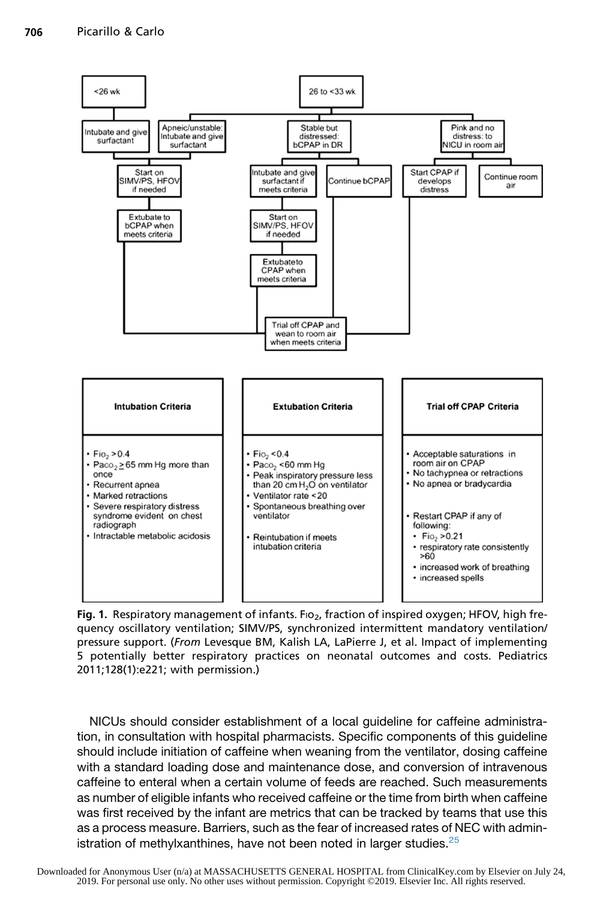<span id="page-5-0"></span>

Fig. 1. Respiratory management of infants. Fio<sub>2</sub>, fraction of inspired oxygen; HFOV, high frequency oscillatory ventilation; SIMV/PS, synchronized intermittent mandatory ventilation/ pressure support. (From Levesque BM, Kalish LA, LaPierre J, et al. Impact of implementing 5 potentially better respiratory practices on neonatal outcomes and costs. Pediatrics 2011;128(1):e221; with permission.)

NICUs should consider establishment of a local guideline for caffeine administration, in consultation with hospital pharmacists. Specific components of this guideline should include initiation of caffeine when weaning from the ventilator, dosing caffeine with a standard loading dose and maintenance dose, and conversion of intravenous caffeine to enteral when a certain volume of feeds are reached. Such measurements as number of eligible infants who received caffeine or the time from birth when caffeine was first received by the infant are metrics that can be tracked by teams that use this as a process measure. Barriers, such as the fear of increased rates of NEC with admin-istration of methylxanthines, have not been noted in larger studies.<sup>[25](#page-11-0)</sup>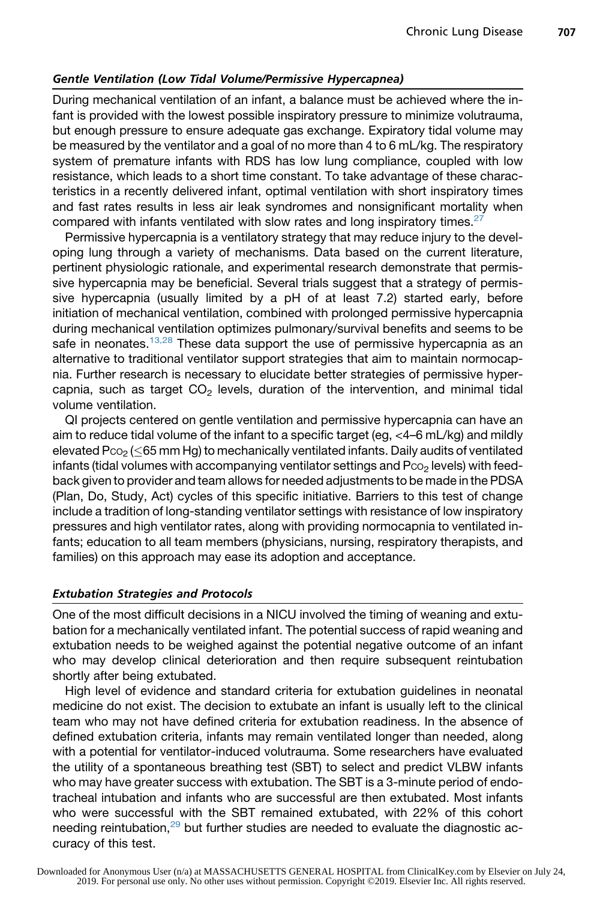# Gentle Ventilation (Low Tidal Volume/Permissive Hypercapnea)

During mechanical ventilation of an infant, a balance must be achieved where the infant is provided with the lowest possible inspiratory pressure to minimize volutrauma, but enough pressure to ensure adequate gas exchange. Expiratory tidal volume may be measured by the ventilator and a goal of no more than 4 to 6 mL/kg. The respiratory system of premature infants with RDS has low lung compliance, coupled with low resistance, which leads to a short time constant. To take advantage of these characteristics in a recently delivered infant, optimal ventilation with short inspiratory times and fast rates results in less air leak syndromes and nonsignificant mortality when compared with infants ventilated with slow rates and long inspiratory times. $27$ 

Permissive hypercapnia is a ventilatory strategy that may reduce injury to the developing lung through a variety of mechanisms. Data based on the current literature, pertinent physiologic rationale, and experimental research demonstrate that permissive hypercapnia may be beneficial. Several trials suggest that a strategy of permissive hypercapnia (usually limited by a pH of at least 7.2) started early, before initiation of mechanical ventilation, combined with prolonged permissive hypercapnia during mechanical ventilation optimizes pulmonary/survival benefits and seems to be safe in neonates.<sup>[13,28](#page-10-0)</sup> These data support the use of permissive hypercapnia as an alternative to traditional ventilator support strategies that aim to maintain normocapnia. Further research is necessary to elucidate better strategies of permissive hypercapnia, such as target  $CO<sub>2</sub>$  levels, duration of the intervention, and minimal tidal volume ventilation.

QI projects centered on gentle ventilation and permissive hypercapnia can have an aim to reduce tidal volume of the infant to a specific target (eg,  $<$ 4–6 mL/kg) and mildly elevated  $P_{C_2}$  (<65 mm Hg) to mechanically ventilated infants. Daily audits of ventilated infants (tidal volumes with accompanying ventilator settings and  $Pco<sub>2</sub>$  levels) with feedback given to provider and team allows for needed adjustments to be made in the PDSA (Plan, Do, Study, Act) cycles of this specific initiative. Barriers to this test of change include a tradition of long-standing ventilator settings with resistance of low inspiratory pressures and high ventilator rates, along with providing normocapnia to ventilated infants; education to all team members (physicians, nursing, respiratory therapists, and families) on this approach may ease its adoption and acceptance.

# Extubation Strategies and Protocols

One of the most difficult decisions in a NICU involved the timing of weaning and extubation for a mechanically ventilated infant. The potential success of rapid weaning and extubation needs to be weighed against the potential negative outcome of an infant who may develop clinical deterioration and then require subsequent reintubation shortly after being extubated.

High level of evidence and standard criteria for extubation guidelines in neonatal medicine do not exist. The decision to extubate an infant is usually left to the clinical team who may not have defined criteria for extubation readiness. In the absence of defined extubation criteria, infants may remain ventilated longer than needed, along with a potential for ventilator-induced volutrauma. Some researchers have evaluated the utility of a spontaneous breathing test (SBT) to select and predict VLBW infants who may have greater success with extubation. The SBT is a 3-minute period of endotracheal intubation and infants who are successful are then extubated. Most infants who were successful with the SBT remained extubated, with 22% of this cohort needing reintubation, $29$  but further studies are needed to evaluate the diagnostic accuracy of this test.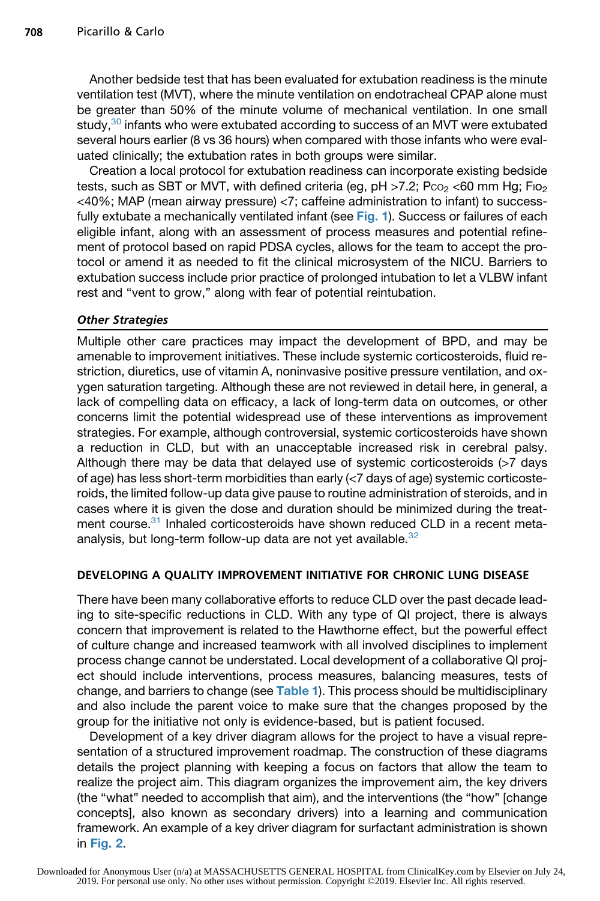Another bedside test that has been evaluated for extubation readiness is the minute ventilation test (MVT), where the minute ventilation on endotracheal CPAP alone must be greater than 50% of the minute volume of mechanical ventilation. In one small study, $30$  infants who were extubated according to success of an MVT were extubated several hours earlier (8 vs 36 hours) when compared with those infants who were evaluated clinically; the extubation rates in both groups were similar.

Creation a local protocol for extubation readiness can incorporate existing bedside tests, such as SBT or MVT, with defined criteria (eg,  $pH > 7.2$ ; Pco<sub>2</sub> <60 mm Hg; Fio<sub>2</sub> <40%; MAP (mean airway pressure) <7; caffeine administration to infant) to success-fully extubate a mechanically ventilated infant (see [Fig. 1](#page-5-0)). Success or failures of each eligible infant, along with an assessment of process measures and potential refinement of protocol based on rapid PDSA cycles, allows for the team to accept the protocol or amend it as needed to fit the clinical microsystem of the NICU. Barriers to extubation success include prior practice of prolonged intubation to let a VLBW infant rest and "vent to grow," along with fear of potential reintubation.

## Other Strategies

Multiple other care practices may impact the development of BPD, and may be amenable to improvement initiatives. These include systemic corticosteroids, fluid restriction, diuretics, use of vitamin A, noninvasive positive pressure ventilation, and oxygen saturation targeting. Although these are not reviewed in detail here, in general, a lack of compelling data on efficacy, a lack of long-term data on outcomes, or other concerns limit the potential widespread use of these interventions as improvement strategies. For example, although controversial, systemic corticosteroids have shown a reduction in CLD, but with an unacceptable increased risk in cerebral palsy. Although there may be data that delayed use of systemic corticosteroids (>7 days of age) has less short-term morbidities than early (<7 days of age) systemic corticosteroids, the limited follow-up data give pause to routine administration of steroids, and in cases where it is given the dose and duration should be minimized during the treat-ment course.<sup>[31](#page-11-0)</sup> Inhaled corticosteroids have shown reduced CLD in a recent meta-analysis, but long-term follow-up data are not yet available.<sup>[32](#page-11-0)</sup>

## DEVELOPING A QUALITY IMPROVEMENT INITIATIVE FOR CHRONIC LUNG DISEASE

There have been many collaborative efforts to reduce CLD over the past decade leading to site-specific reductions in CLD. With any type of QI project, there is always concern that improvement is related to the Hawthorne effect, but the powerful effect of culture change and increased teamwork with all involved disciplines to implement process change cannot be understated. Local development of a collaborative QI project should include interventions, process measures, balancing measures, tests of change, and barriers to change (see [Table 1](#page-3-0)). This process should be multidisciplinary and also include the parent voice to make sure that the changes proposed by the group for the initiative not only is evidence-based, but is patient focused.

Development of a key driver diagram allows for the project to have a visual representation of a structured improvement roadmap. The construction of these diagrams details the project planning with keeping a focus on factors that allow the team to realize the project aim. This diagram organizes the improvement aim, the key drivers (the "what" needed to accomplish that aim), and the interventions (the "how" [change concepts], also known as secondary drivers) into a learning and communication framework. An example of a key driver diagram for surfactant administration is shown in [Fig. 2](#page-8-0).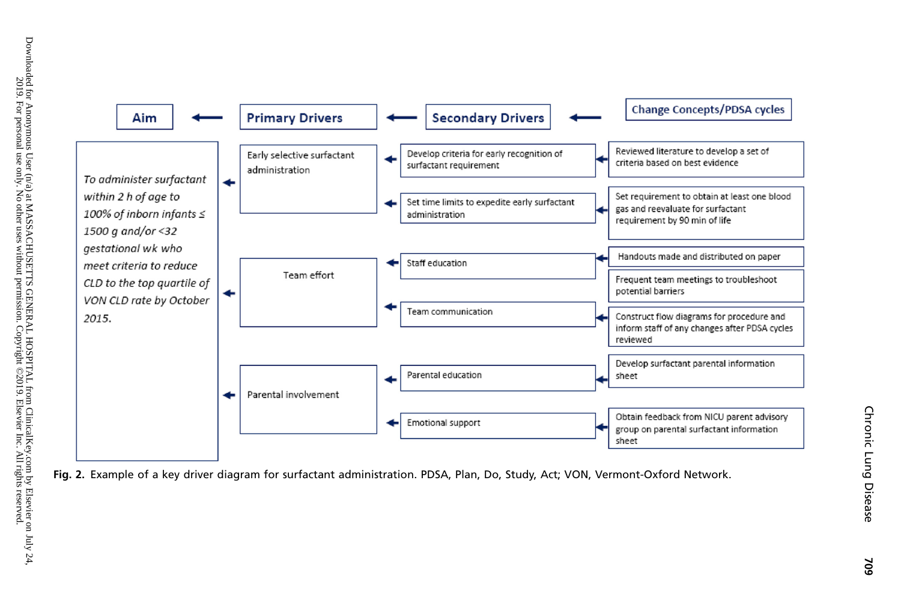<span id="page-8-0"></span>

Fig. 2. Example of <sup>a</sup> key driver diagram for surfactant administration. PDSA, Plan, Do, Study, Act; VON, Vermont-Oxford Network.

Chronic Lung Disease

Chronic Lung Disease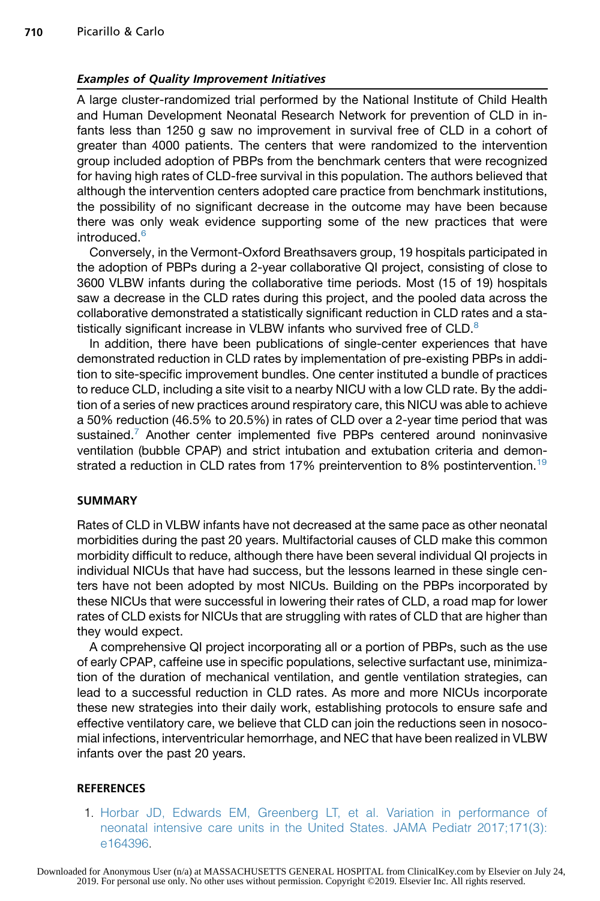#### <span id="page-9-0"></span>Examples of Quality Improvement Initiatives

A large cluster-randomized trial performed by the National Institute of Child Health and Human Development Neonatal Research Network for prevention of CLD in infants less than 1250 g saw no improvement in survival free of CLD in a cohort of greater than 4000 patients. The centers that were randomized to the intervention group included adoption of PBPs from the benchmark centers that were recognized for having high rates of CLD-free survival in this population. The authors believed that although the intervention centers adopted care practice from benchmark institutions, the possibility of no significant decrease in the outcome may have been because there was only weak evidence supporting some of the new practices that were introduced.<sup>[6](#page-10-0)</sup>

Conversely, in the Vermont-Oxford Breathsavers group, 19 hospitals participated in the adoption of PBPs during a 2-year collaborative QI project, consisting of close to 3600 VLBW infants during the collaborative time periods. Most (15 of 19) hospitals saw a decrease in the CLD rates during this project, and the pooled data across the collaborative demonstrated a statistically significant reduction in CLD rates and a statistically significant increase in VLBW infants who survived free of CLD.<sup>8</sup>

In addition, there have been publications of single-center experiences that have demonstrated reduction in CLD rates by implementation of pre-existing PBPs in addition to site-specific improvement bundles. One center instituted a bundle of practices to reduce CLD, including a site visit to a nearby NICU with a low CLD rate. By the addition of a series of new practices around respiratory care, this NICU was able to achieve a 50% reduction (46.5% to 20.5%) in rates of CLD over a 2-year time period that was sustained.<sup>[7](#page-10-0)</sup> Another center implemented five PBPs centered around noninvasive ventilation (bubble CPAP) and strict intubation and extubation criteria and demon-strated a reduction in CLD rates from 17% preintervention to 8% postintervention.<sup>[19](#page-10-0)</sup>

#### SUMMARY

Rates of CLD in VLBW infants have not decreased at the same pace as other neonatal morbidities during the past 20 years. Multifactorial causes of CLD make this common morbidity difficult to reduce, although there have been several individual QI projects in individual NICUs that have had success, but the lessons learned in these single centers have not been adopted by most NICUs. Building on the PBPs incorporated by these NICUs that were successful in lowering their rates of CLD, a road map for lower rates of CLD exists for NICUs that are struggling with rates of CLD that are higher than they would expect.

A comprehensive QI project incorporating all or a portion of PBPs, such as the use of early CPAP, caffeine use in specific populations, selective surfactant use, minimization of the duration of mechanical ventilation, and gentle ventilation strategies, can lead to a successful reduction in CLD rates. As more and more NICUs incorporate these new strategies into their daily work, establishing protocols to ensure safe and effective ventilatory care, we believe that CLD can join the reductions seen in nosocomial infections, interventricular hemorrhage, and NEC that have been realized in VLBW infants over the past 20 years.

# **REFERENCES**

1. [Horbar JD, Edwards EM, Greenberg LT, et al. Variation in performance of](http://refhub.elsevier.com/S0095-5108(17)30054-4/sref1) [neonatal intensive care units in the United States. JAMA Pediatr 2017;171\(3\):](http://refhub.elsevier.com/S0095-5108(17)30054-4/sref1) [e164396.](http://refhub.elsevier.com/S0095-5108(17)30054-4/sref1)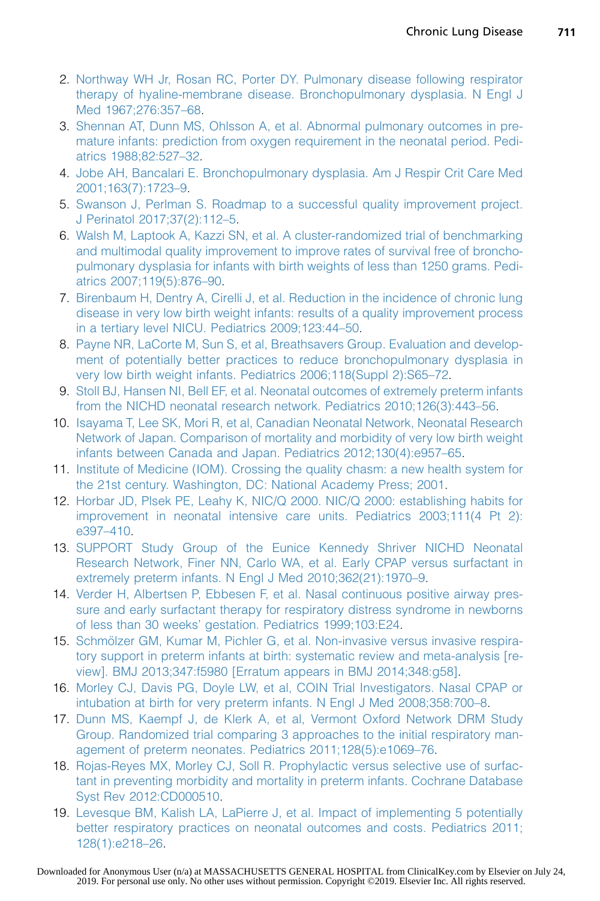- <span id="page-10-0"></span>2. [Northway WH Jr, Rosan RC, Porter DY. Pulmonary disease following respirator](http://refhub.elsevier.com/S0095-5108(17)30054-4/sref2) [therapy of hyaline-membrane disease. Bronchopulmonary dysplasia. N Engl J](http://refhub.elsevier.com/S0095-5108(17)30054-4/sref2) [Med 1967;276:357–68.](http://refhub.elsevier.com/S0095-5108(17)30054-4/sref2)
- 3. [Shennan AT, Dunn MS, Ohlsson A, et al. Abnormal pulmonary outcomes in pre](http://refhub.elsevier.com/S0095-5108(17)30054-4/sref3)[mature infants: prediction from oxygen requirement in the neonatal period. Pedi](http://refhub.elsevier.com/S0095-5108(17)30054-4/sref3)[atrics 1988;82:527–32.](http://refhub.elsevier.com/S0095-5108(17)30054-4/sref3)
- 4. [Jobe AH, Bancalari E. Bronchopulmonary dysplasia. Am J Respir Crit Care Med](http://refhub.elsevier.com/S0095-5108(17)30054-4/sref4) [2001;163\(7\):1723–9.](http://refhub.elsevier.com/S0095-5108(17)30054-4/sref4)
- 5. [Swanson J, Perlman S. Roadmap to a successful quality improvement project.](http://refhub.elsevier.com/S0095-5108(17)30054-4/sref5) [J Perinatol 2017;37\(2\):112–5.](http://refhub.elsevier.com/S0095-5108(17)30054-4/sref5)
- 6. [Walsh M, Laptook A, Kazzi SN, et al. A cluster-randomized trial of benchmarking](http://refhub.elsevier.com/S0095-5108(17)30054-4/sref6) [and multimodal quality improvement to improve rates of survival free of broncho](http://refhub.elsevier.com/S0095-5108(17)30054-4/sref6)[pulmonary dysplasia for infants with birth weights of less than 1250 grams. Pedi](http://refhub.elsevier.com/S0095-5108(17)30054-4/sref6)[atrics 2007;119\(5\):876–90](http://refhub.elsevier.com/S0095-5108(17)30054-4/sref6).
- 7. [Birenbaum H, Dentry A, Cirelli J, et al. Reduction in the incidence of chronic lung](http://refhub.elsevier.com/S0095-5108(17)30054-4/sref7) [disease in very low birth weight infants: results of a quality improvement process](http://refhub.elsevier.com/S0095-5108(17)30054-4/sref7) [in a tertiary level NICU. Pediatrics 2009;123:44–50.](http://refhub.elsevier.com/S0095-5108(17)30054-4/sref7)
- 8. [Payne NR, LaCorte M, Sun S, et al, Breathsavers Group. Evaluation and develop](http://refhub.elsevier.com/S0095-5108(17)30054-4/sref8)[ment of potentially better practices to reduce bronchopulmonary dysplasia in](http://refhub.elsevier.com/S0095-5108(17)30054-4/sref8) [very low birth weight infants. Pediatrics 2006;118\(Suppl 2\):S65–72.](http://refhub.elsevier.com/S0095-5108(17)30054-4/sref8)
- 9. [Stoll BJ, Hansen NI, Bell EF, et al. Neonatal outcomes of extremely preterm infants](http://refhub.elsevier.com/S0095-5108(17)30054-4/sref9) [from the NICHD neonatal research network. Pediatrics 2010;126\(3\):443–56.](http://refhub.elsevier.com/S0095-5108(17)30054-4/sref9)
- 10. [Isayama T, Lee SK, Mori R, et al, Canadian Neonatal Network, Neonatal Research](http://refhub.elsevier.com/S0095-5108(17)30054-4/sref10) [Network of Japan. Comparison of mortality and morbidity of very low birth weight](http://refhub.elsevier.com/S0095-5108(17)30054-4/sref10) [infants between Canada and Japan. Pediatrics 2012;130\(4\):e957–65](http://refhub.elsevier.com/S0095-5108(17)30054-4/sref10).
- 11. [Institute of Medicine \(IOM\). Crossing the quality chasm: a new health system for](http://refhub.elsevier.com/S0095-5108(17)30054-4/sref11) [the 21st century. Washington, DC: National Academy Press; 2001](http://refhub.elsevier.com/S0095-5108(17)30054-4/sref11).
- 12. [Horbar JD, Plsek PE, Leahy K, NIC/Q 2000. NIC/Q 2000: establishing habits for](http://refhub.elsevier.com/S0095-5108(17)30054-4/sref12) [improvement in neonatal intensive care units. Pediatrics 2003;111\(4 Pt 2\):](http://refhub.elsevier.com/S0095-5108(17)30054-4/sref12) [e397–410.](http://refhub.elsevier.com/S0095-5108(17)30054-4/sref12)
- 13. [SUPPORT Study Group of the Eunice Kennedy Shriver NICHD Neonatal](http://refhub.elsevier.com/S0095-5108(17)30054-4/sref13) [Research Network, Finer NN, Carlo WA, et al. Early CPAP versus surfactant in](http://refhub.elsevier.com/S0095-5108(17)30054-4/sref13) [extremely preterm infants. N Engl J Med 2010;362\(21\):1970–9](http://refhub.elsevier.com/S0095-5108(17)30054-4/sref13).
- 14. [Verder H, Albertsen P, Ebbesen F, et al. Nasal continuous positive airway pres](http://refhub.elsevier.com/S0095-5108(17)30054-4/sref14)[sure and early surfactant therapy for respiratory distress syndrome in newborns](http://refhub.elsevier.com/S0095-5108(17)30054-4/sref14) [of less than 30 weeks' gestation. Pediatrics 1999;103:E24.](http://refhub.elsevier.com/S0095-5108(17)30054-4/sref14)
- 15. Schmölzer GM, Kumar M, Pichler G, et al. Non-invasive versus invasive respira[tory support in preterm infants at birth: systematic review and meta-analysis \[re](http://refhub.elsevier.com/S0095-5108(17)30054-4/sref15)[view\]. BMJ 2013;347:f5980 \[Erratum appears in BMJ 2014;348:g58\].](http://refhub.elsevier.com/S0095-5108(17)30054-4/sref15)
- 16. [Morley CJ, Davis PG, Doyle LW, et al, COIN Trial Investigators. Nasal CPAP or](http://refhub.elsevier.com/S0095-5108(17)30054-4/sref16) [intubation at birth for very preterm infants. N Engl J Med 2008;358:700–8.](http://refhub.elsevier.com/S0095-5108(17)30054-4/sref16)
- 17. [Dunn MS, Kaempf J, de Klerk A, et al, Vermont Oxford Network DRM Study](http://refhub.elsevier.com/S0095-5108(17)30054-4/sref17) [Group. Randomized trial comparing 3 approaches to the initial respiratory man](http://refhub.elsevier.com/S0095-5108(17)30054-4/sref17)[agement of preterm neonates. Pediatrics 2011;128\(5\):e1069–76.](http://refhub.elsevier.com/S0095-5108(17)30054-4/sref17)
- 18. [Rojas-Reyes MX, Morley CJ, Soll R. Prophylactic versus selective use of surfac](http://refhub.elsevier.com/S0095-5108(17)30054-4/sref18)[tant in preventing morbidity and mortality in preterm infants. Cochrane Database](http://refhub.elsevier.com/S0095-5108(17)30054-4/sref18) [Syst Rev 2012:CD000510](http://refhub.elsevier.com/S0095-5108(17)30054-4/sref18).
- 19. [Levesque BM, Kalish LA, LaPierre J, et al. Impact of implementing 5 potentially](http://refhub.elsevier.com/S0095-5108(17)30054-4/sref19) [better respiratory practices on neonatal outcomes and costs. Pediatrics 2011;](http://refhub.elsevier.com/S0095-5108(17)30054-4/sref19) [128\(1\):e218–26](http://refhub.elsevier.com/S0095-5108(17)30054-4/sref19).

Downloaded for Anonymous User (n/a) at MASSACHUSETTS GENERAL HOSPITAL from ClinicalKey.com by Elsevier on July 24,<br>2019. For personal use only. No other uses without permission. Copyright ©2019. Elsevier Inc. All rights re